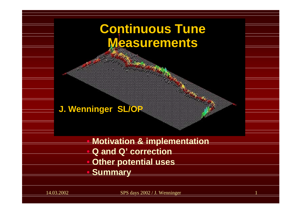# **Continuous Tune Measurements Measurements**   $\bigcirc$  **Motivation & implementation**  $\Box$  **Q and Q' correction J. Wenninger SL/OP**

- $\bigcirc$ **Other potential uses**
- $\bigcirc$ **Summary**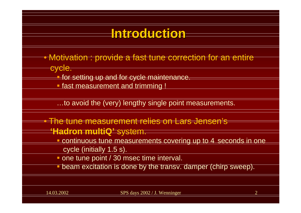### **Introduction Introduction**• Motivation : provide a fast tune correction for an entire cycle. **for setting up and for cycle maintenance. Service Service** fast measurement and trimming ! …to avoid the (very) lengthy single point measurements. • The tune measurement relies on Lars Jensen's **'Hadron multiQ'** system. **Continuous tune measurements covering up to 4 seconds in one**

- cycle (initially 1.5 s).
- **one tune point / 30 msec time interval.**
- **beam excitation is done by the transv. damper (chirp sweep).**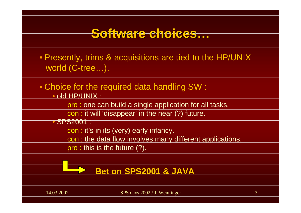#### **Software choices… Software choices…**

• Presently, trims & acquisitions are tied to the HP/UNIX world (C-tree…).

•Choice for the required data handling SW :

•old HP/UNIX :

pro : one can build a single application for all tasks.

con : it will 'disappear' in the near (?) future.

• SPS2001 :

con : it's in its (very) early infancy.

con : the data flow involves many different applications.

pro : this is the future (?).

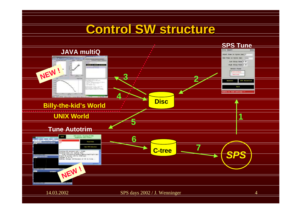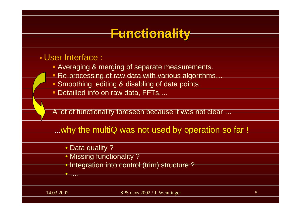### **Functionality Functionality**

#### • User Interface :

- **Averaging & merging of separate measurements.**
- Re-processing of raw data with various algorithms...
- Smoothing, editing & disabling of data points.
- <u>■ Detailled info on raw data, FFTs,...</u>

A lot of functionality foreseen because it was not clear …

**…**why the multiQ was not used by operation so far !

- Data quality ?
- Missing functionality ?
- Integration into control (trim) structure ?

• ….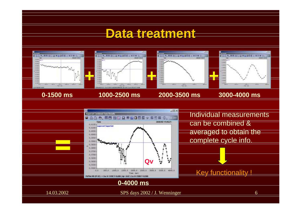#### **Data treatment**

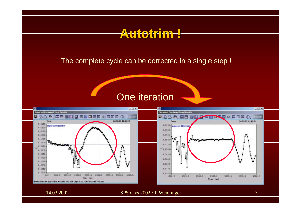

14.03.2002 SPS days 2002 / J. Wenninger 7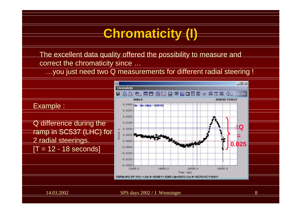#### **Chromaticity (I) Chromaticity (I)**

The excellent data quality offered the possibility to measure and correct the chromaticity since …

…you just need two Q measurements for different radial steering !

Example :

Q difference during the ramp in SC537 (LHC) for 2 radial steerings.  $[T = 12 - 18$  seconds]

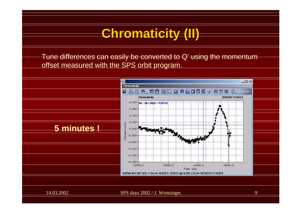## **Chromaticity (II) Chromaticity (II)**

Tune differences can easily be converted to Q' using the momentum offset measured with the SPS orbit program.

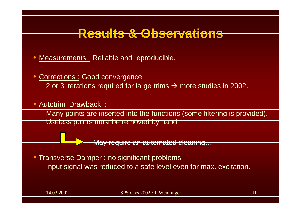#### **Results & Observations Results & Observations**

•Measurements : Reliable and reproducible.

Corrections : Good convergence.

2 or 3 iterations required for large trims  $\rightarrow$  more studies in 2002.

• Autotrim 'Drawback' :

 $\bullet$ 

Many points are inserted into the functions (some filtering is provided). Useless points must be removed by hand.

May require an automated cleaning…

**• Transverse Damper : no significant problems.** Input signal was reduced to a safe level even for max. excitation.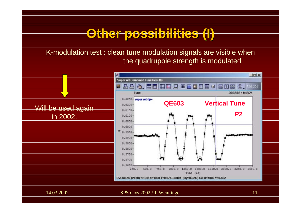#### **Other possibilities (I) Other possibilities (I)**

K-modulation test : clean tune modulation signals are visible when the quadrupole strength is modulated

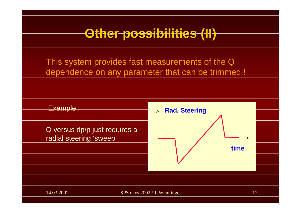

This system provides fast measurements of the Q dependence on any parameter that can be trimmed !

Example :

Q versus dp/p just requires a radial steering 'sweep'